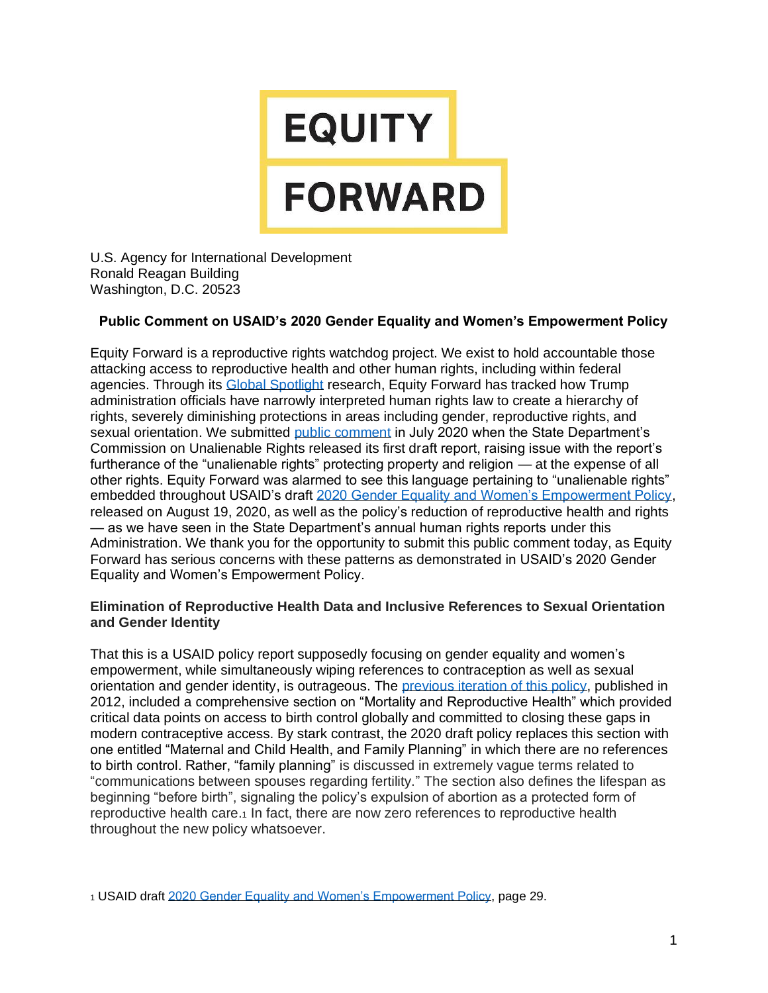# **EQUITY FORWARD**

U.S. Agency for International Development Ronald Reagan Building Washington, D.C. 20523

#### **Public Comment on USAID's 2020 Gender Equality and Women's Empowerment Policy**

Equity Forward is a reproductive rights watchdog project. We exist to hold accountable those attacking access to reproductive health and other human rights, including within federal agencies. Through its [Global Spotlight](https://equityfwd.org/global-spotlight) research, Equity Forward has tracked how Trump administration officials have narrowly interpreted human rights law to create a hierarchy of rights, severely diminishing protections in areas including gender, reproductive rights, and sexual orientation. We submitted [public comment](https://equityfwd.org/sites/default/files/equity_forward_public_comment_on_cur_report_7.29.20_0.pdf) in July 2020 when the State Department's Commission on Unalienable Rights released its first draft report, raising issue with the report's furtherance of the "unalienable rights" protecting property and religion — at the expense of all other rights. Equity Forward was alarmed to see this language pertaining to "unalienable rights" embedded throughout USAID's draft [2020 Gender Equality and Women's Empowerment Policy,](https://www.usaid.gov/what-we-do/gender-equality-and-womens-empowerment/2020-policy-draft) released on August 19, 2020, as well as the policy's reduction of reproductive health and rights — as we have seen in the State Department's annual human rights reports under this Administration. We thank you for the opportunity to submit this public comment today, as Equity Forward has serious concerns with these patterns as demonstrated in USAID's 2020 Gender Equality and Women's Empowerment Policy.

#### **Elimination of Reproductive Health Data and Inclusive References to Sexual Orientation and Gender Identity**

That this is a USAID policy report supposedly focusing on gender equality and women's empowerment, while simultaneously wiping references to contraception as well as sexual orientation and gender identity, is outrageous. The [previous iteration of this policy,](https://www.usaid.gov/sites/default/files/documents/1870/GenderEqualityPolicy_0.pdf) published in 2012, included a comprehensive section on "Mortality and Reproductive Health" which provided critical data points on access to birth control globally and committed to closing these gaps in modern contraceptive access. By stark contrast, the 2020 draft policy replaces this section with one entitled "Maternal and Child Health, and Family Planning" in which there are no references to birth control. Rather, "family planning" is discussed in extremely vague terms related to "communications between spouses regarding fertility." The section also defines the lifespan as beginning "before birth", signaling the policy's expulsion of abortion as a protected form of reproductive health care.<sup>1</sup> In fact, there are now zero references to reproductive health throughout the new policy whatsoever.

<sup>1</sup> USAID draft [2020 Gender Equality and Women's Empowerment Policy,](https://www.usaid.gov/sites/default/files/documents/Draft_USAID_2020_Gender_Equality_and_Womens_Empowerment_Policy_-_External_Review_8.19.2020_.pdf) page 29.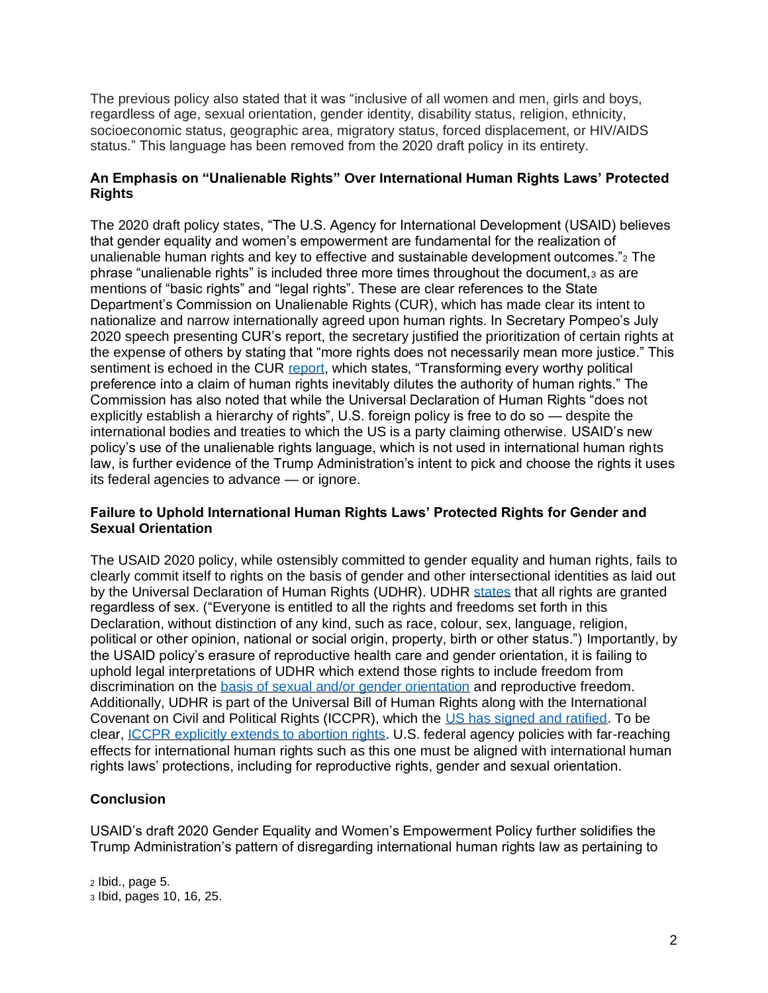The previous policy also stated that it was "inclusive of all women and men, girls and boys, regardless of age, sexual orientation, gender identity, disability status, religion, ethnicity, socioeconomic status, geographic area, migratory status, forced displacement, or HIV/AIDS status." This language has been removed from the 2020 draft policy in its entirety.

### **An Emphasis on "Unalienable Rights" Over International Human Rights Laws' Protected Rights**

The 2020 draft policy states, "The U.S. Agency for International Development (USAID) believes that gender equality and women's empowerment are fundamental for the realization of unalienable human rights and key to effective and sustainable development outcomes."<sup>2</sup> The phrase "unalienable rights" is included three more times throughout the document,<sup>3</sup> as are mentions of "basic rights" and "legal rights". These are clear references to the State Department's Commission on Unalienable Rights (CUR), which has made clear its intent to nationalize and narrow internationally agreed upon human rights. In Secretary Pompeo's July 2020 speech presenting CUR's report, the secretary justified the prioritization of certain rights at the expense of others by stating that "more rights does not necessarily mean more justice." This sentiment is echoed in the CUR [report,](https://www.state.gov/wp-content/uploads/2020/07/Draft-Report-of-the-Commission-on-Unalienable-Rights.pdf) which states, "Transforming every worthy political preference into a claim of human rights inevitably dilutes the authority of human rights." The Commission has also noted that while the Universal Declaration of Human Rights "does not explicitly establish a hierarchy of rights", U.S. foreign policy is free to do so — despite the international bodies and treaties to which the US is a party claiming otherwise. USAID's new policy's use of the unalienable rights language, which is not used in international human rights law, is further evidence of the Trump Administration's intent to pick and choose the rights it uses its federal agencies to advance — or ignore.

#### **Failure to Uphold International Human Rights Laws' Protected Rights for Gender and Sexual Orientation**

The USAID 2020 policy, while ostensibly committed to gender equality and human rights, fails to clearly commit itself to rights on the basis of gender and other intersectional identities as laid out by the Universal Declaration of Human Rights (UDHR). UDHR [states](https://www.un.org/en/universal-declaration-human-rights/) that all rights are granted regardless of sex. ("Everyone is entitled to all the rights and freedoms set forth in this Declaration, without distinction of any kind, such as race, colour, sex, language, religion, political or other opinion, national or social origin, property, birth or other status.") Importantly, by the USAID policy's erasure of reproductive health care and gender orientation, it is failing to uphold legal interpretations of UDHR which extend those rights to include freedom from discrimination on the **basis of sexual and/or gender orientation** and reproductive freedom. Additionally, UDHR is part of the Universal Bill of Human Rights along with the International Covenant on Civil and Political Rights (ICCPR), which the [US has signed and ratified.](https://indicators.ohchr.org/) To be clear, [ICCPR explicitly extends to abortion rights.](https://www.ohchr.org/Documents/HRBodies/CCPR/CCPR_C_GC_36.pdf) U.S. federal agency policies with far-reaching effects for international human rights such as this one must be aligned with international human rights laws' protections, including for reproductive rights, gender and sexual orientation.

## **Conclusion**

USAID's draft 2020 Gender Equality and Women's Empowerment Policy further solidifies the Trump Administration's pattern of disregarding international human rights law as pertaining to

<sup>2</sup> Ibid., page 5. <sup>3</sup> Ibid, pages 10, 16, 25.